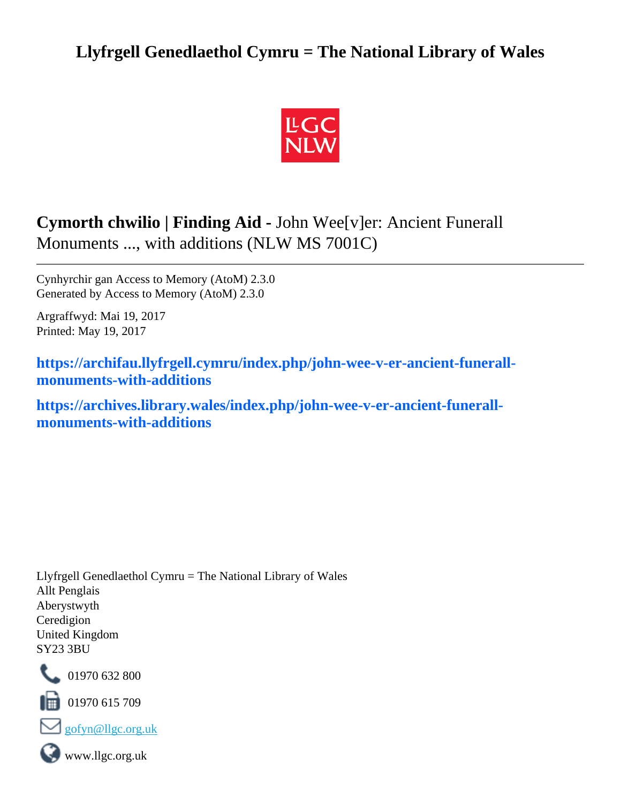## **Llyfrgell Genedlaethol Cymru = The National Library of Wales**



# **Cymorth chwilio | Finding Aid -** John Wee[v]er: Ancient Funerall Monuments ..., with additions (NLW MS 7001C)

Cynhyrchir gan Access to Memory (AtoM) 2.3.0 Generated by Access to Memory (AtoM) 2.3.0

Argraffwyd: Mai 19, 2017 Printed: May 19, 2017

**[https://archifau.llyfrgell.cymru/index.php/john-wee-v-er-ancient-funerall](https://archifau.llyfrgell.cymru/index.php/john-wee-v-er-ancient-funerall-monuments-with-additions;isad?sf_culture=cy)[monuments-with-additions](https://archifau.llyfrgell.cymru/index.php/john-wee-v-er-ancient-funerall-monuments-with-additions;isad?sf_culture=cy)**

**[https://archives.library.wales/index.php/john-wee-v-er-ancient-funerall](https://archives.library.wales/index.php/john-wee-v-er-ancient-funerall-monuments-with-additions;isad?sf_culture=en)[monuments-with-additions](https://archives.library.wales/index.php/john-wee-v-er-ancient-funerall-monuments-with-additions;isad?sf_culture=en)**

Llyfrgell Genedlaethol Cymru = The National Library of Wales Allt Penglais Aberystwyth Ceredigion United Kingdom SY23 3BU



101970 632 800

 $\blacksquare$  01970 615 709





www.llgc.org.uk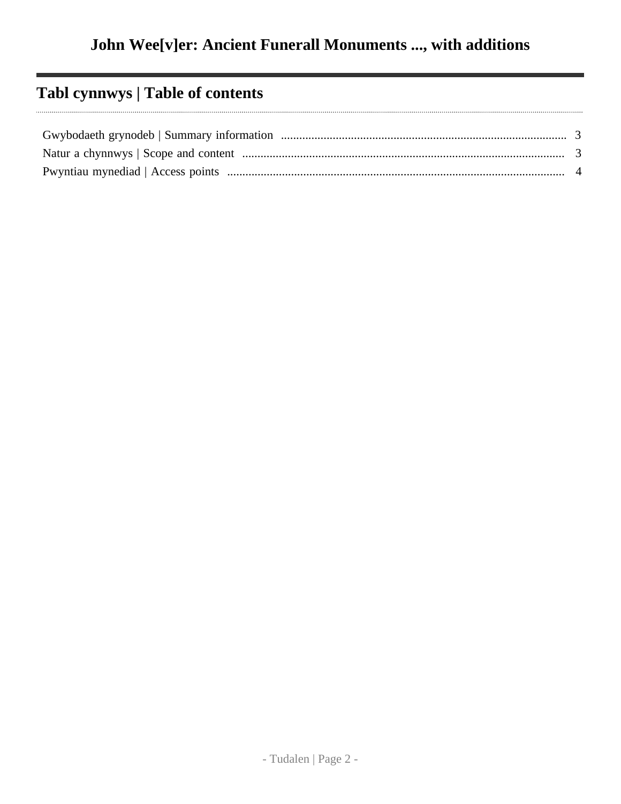## **Tabl cynnwys | Table of contents**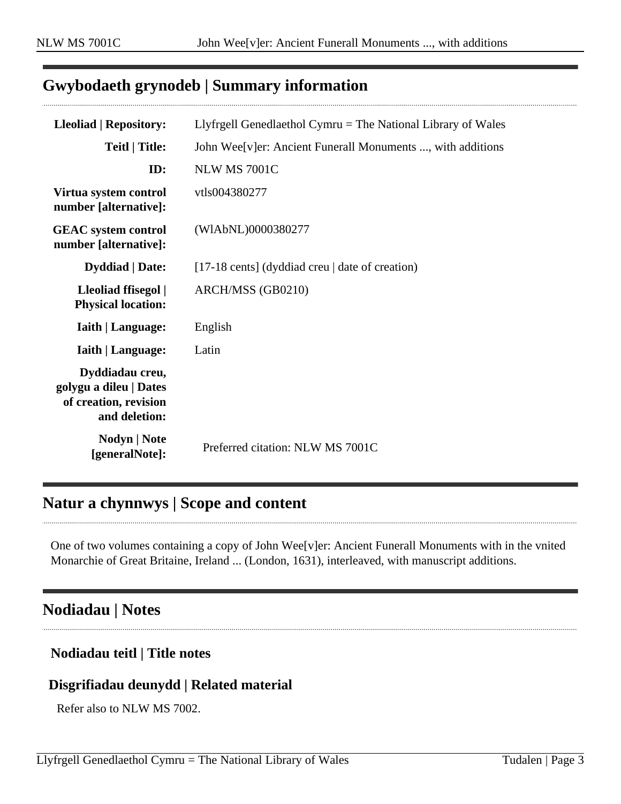### <span id="page-2-0"></span>**Gwybodaeth grynodeb | Summary information**

| <b>Lleoliad   Repository:</b>                                                       | Llyfrgell Genedlaethol Cymru $=$ The National Library of Wales |
|-------------------------------------------------------------------------------------|----------------------------------------------------------------|
| <b>Teitl   Title:</b>                                                               | John Wee[v]er: Ancient Funerall Monuments , with additions     |
| ID:                                                                                 | <b>NLW MS 7001C</b>                                            |
| Virtua system control<br>number [alternative]:                                      | vtls004380277                                                  |
| <b>GEAC</b> system control<br>number [alternative]:                                 | (WIAbNL)0000380277                                             |
| <b>Dyddiad</b>   Date:                                                              | [17-18 cents] (dyddiad creu $\vert$ date of creation)          |
| Lleoliad ffisegol  <br><b>Physical location:</b>                                    | ARCH/MSS (GB0210)                                              |
| <b>Iaith   Language:</b>                                                            | English                                                        |
| <b>Iaith   Language:</b>                                                            | Latin                                                          |
| Dyddiadau creu,<br>golygu a dileu   Dates<br>of creation, revision<br>and deletion: |                                                                |
| <b>Nodyn</b>   <b>Note</b><br>[generalNote]:                                        | Preferred citation: NLW MS 7001C                               |

### <span id="page-2-1"></span>**Natur a chynnwys | Scope and content**

One of two volumes containing a copy of John Wee[v]er: Ancient Funerall Monuments with in the vnited Monarchie of Great Britaine, Ireland ... (London, 1631), interleaved, with manuscript additions.

### **Nodiadau | Notes**

#### **Nodiadau teitl | Title notes**

#### **Disgrifiadau deunydd | Related material**

Refer also to NLW MS 7002.